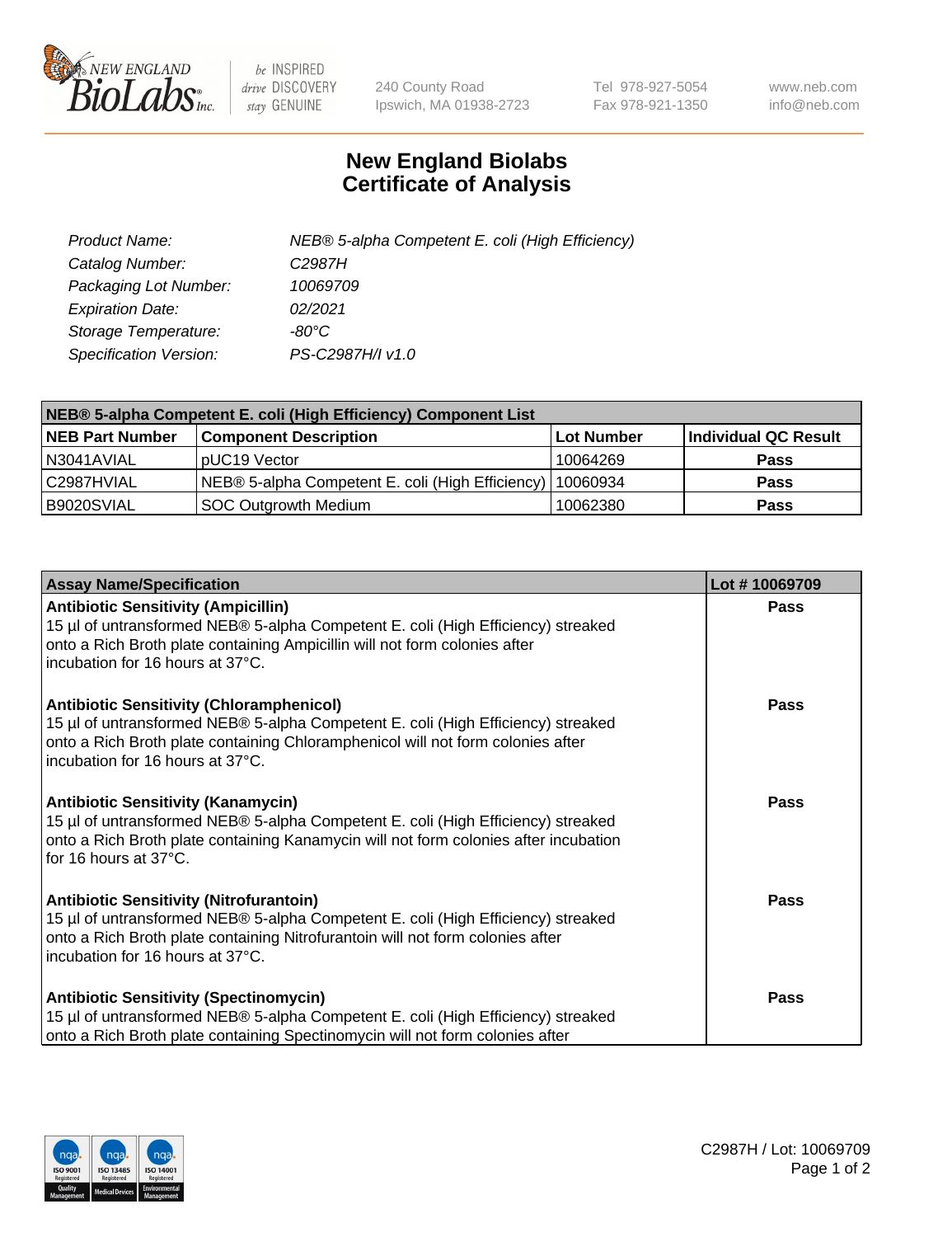

 $be$  INSPIRED drive DISCOVERY stay GENUINE

240 County Road Ipswich, MA 01938-2723 Tel 978-927-5054 Fax 978-921-1350 www.neb.com info@neb.com

## **New England Biolabs Certificate of Analysis**

| Product Name:           | NEB® 5-alpha Competent E. coli (High Efficiency) |
|-------------------------|--------------------------------------------------|
| Catalog Number:         | C <sub>2987</sub> H                              |
| Packaging Lot Number:   | 10069709                                         |
| <b>Expiration Date:</b> | 02/2021                                          |
| Storage Temperature:    | -80°C                                            |
| Specification Version:  | PS-C2987H/I v1.0                                 |

| NEB® 5-alpha Competent E. coli (High Efficiency) Component List |                                                  |            |                      |  |
|-----------------------------------------------------------------|--------------------------------------------------|------------|----------------------|--|
| <b>NEB Part Number</b>                                          | <b>Component Description</b>                     | Lot Number | Individual QC Result |  |
| N3041AVIAL                                                      | pUC19 Vector                                     | 10064269   | <b>Pass</b>          |  |
| C2987HVIAL                                                      | NEB® 5-alpha Competent E. coli (High Efficiency) | 10060934   | <b>Pass</b>          |  |
| B9020SVIAL                                                      | <b>SOC Outgrowth Medium</b>                      | 10062380   | <b>Pass</b>          |  |

| <b>Assay Name/Specification</b>                                                                                                                                                                                                                            | Lot #10069709 |
|------------------------------------------------------------------------------------------------------------------------------------------------------------------------------------------------------------------------------------------------------------|---------------|
| <b>Antibiotic Sensitivity (Ampicillin)</b><br>15 µl of untransformed NEB® 5-alpha Competent E. coli (High Efficiency) streaked<br>onto a Rich Broth plate containing Ampicillin will not form colonies after<br>incubation for 16 hours at 37°C.           | <b>Pass</b>   |
| <b>Antibiotic Sensitivity (Chloramphenicol)</b><br>15 µl of untransformed NEB® 5-alpha Competent E. coli (High Efficiency) streaked<br>onto a Rich Broth plate containing Chloramphenicol will not form colonies after<br>incubation for 16 hours at 37°C. | <b>Pass</b>   |
| <b>Antibiotic Sensitivity (Kanamycin)</b><br>15 µl of untransformed NEB® 5-alpha Competent E. coli (High Efficiency) streaked<br>onto a Rich Broth plate containing Kanamycin will not form colonies after incubation<br>for 16 hours at 37°C.             | Pass          |
| <b>Antibiotic Sensitivity (Nitrofurantoin)</b><br>15 µl of untransformed NEB® 5-alpha Competent E. coli (High Efficiency) streaked<br>onto a Rich Broth plate containing Nitrofurantoin will not form colonies after<br>incubation for 16 hours at 37°C.   | Pass          |
| <b>Antibiotic Sensitivity (Spectinomycin)</b><br>15 µl of untransformed NEB® 5-alpha Competent E. coli (High Efficiency) streaked<br>onto a Rich Broth plate containing Spectinomycin will not form colonies after                                         | Pass          |